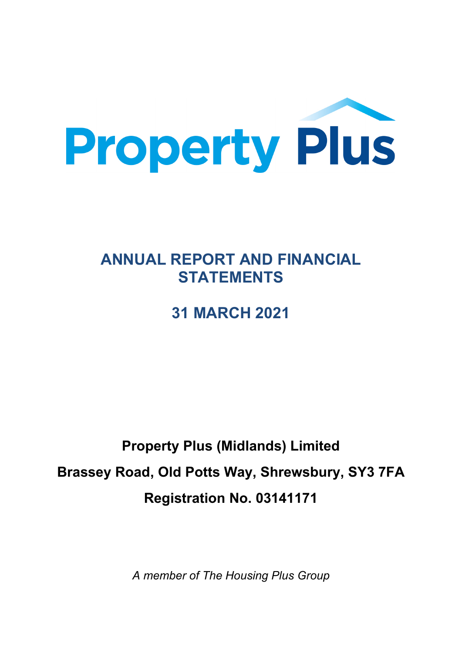

# **ANNUAL REPORT AND FINANCIAL STATEMENTS**

# **31 MARCH 2021**

# **Property Plus (Midlands) Limited Brassey Road, Old Potts Way, Shrewsbury, SY3 7FA Registration No. 03141171**

*A member of The Housing Plus Group*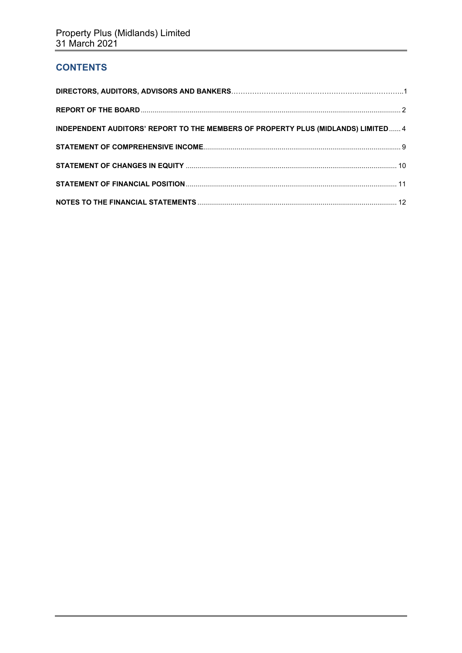# **CONTENTS**

| INDEPENDENT AUDITORS' REPORT TO THE MEMBERS OF PROPERTY PLUS (MIDLANDS) LIMITED 4 |  |
|-----------------------------------------------------------------------------------|--|
|                                                                                   |  |
|                                                                                   |  |
|                                                                                   |  |
|                                                                                   |  |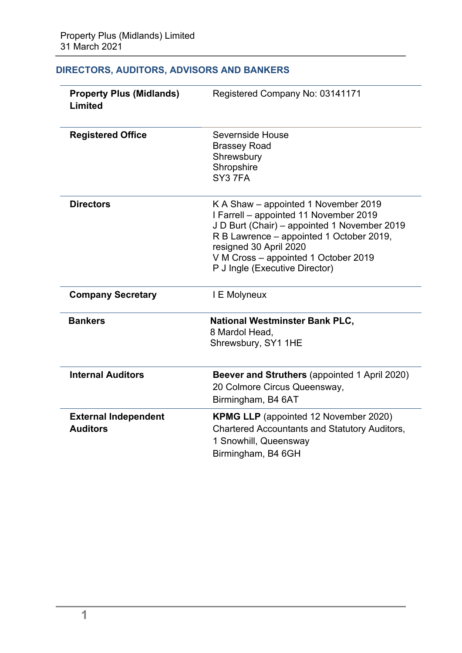|  |  |  | DIRECTORS, AUDITORS, ADVISORS AND BANKERS |
|--|--|--|-------------------------------------------|
|--|--|--|-------------------------------------------|

| <b>Property Plus (Midlands)</b><br>Limited     | Registered Company No: 03141171                                                                                                                                                                                                                                                |
|------------------------------------------------|--------------------------------------------------------------------------------------------------------------------------------------------------------------------------------------------------------------------------------------------------------------------------------|
| <b>Registered Office</b>                       | Severnside House<br><b>Brassey Road</b><br>Shrewsbury<br>Shropshire<br>SY37FA                                                                                                                                                                                                  |
| <b>Directors</b>                               | K A Shaw - appointed 1 November 2019<br>I Farrell - appointed 11 November 2019<br>J D Burt (Chair) – appointed 1 November 2019<br>R B Lawrence – appointed 1 October 2019,<br>resigned 30 April 2020<br>V M Cross - appointed 1 October 2019<br>P J Ingle (Executive Director) |
| <b>Company Secretary</b>                       | I E Molyneux                                                                                                                                                                                                                                                                   |
| <b>Bankers</b>                                 | <b>National Westminster Bank PLC,</b><br>8 Mardol Head.<br>Shrewsbury, SY1 1HE                                                                                                                                                                                                 |
| <b>Internal Auditors</b>                       | Beever and Struthers (appointed 1 April 2020)<br>20 Colmore Circus Queensway,<br>Birmingham, B4 6AT                                                                                                                                                                            |
| <b>External Independent</b><br><b>Auditors</b> | <b>KPMG LLP</b> (appointed 12 November 2020)<br><b>Chartered Accountants and Statutory Auditors,</b><br>1 Snowhill, Queensway<br>Birmingham, B4 6GH                                                                                                                            |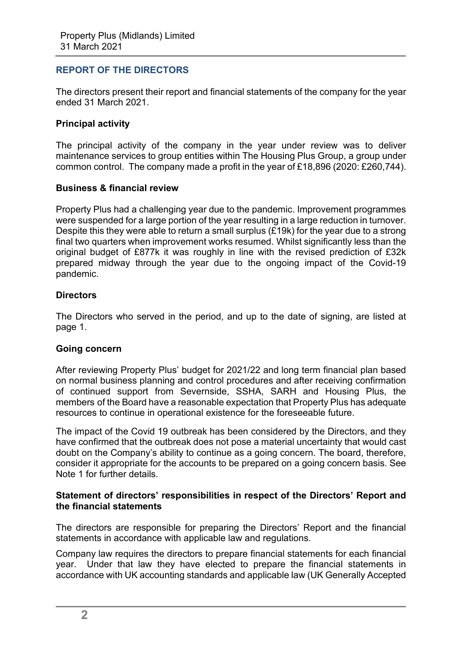# **REPORT OF THE DIRECTORS**

The directors present their report and financial statements of the company for the year ended 31 March 2021.

# **Principal activity**

The principal activity of the company in the year under review was to deliver maintenance services to group entities within The Housing Plus Group, a group under common control. The company made a profit in the year of £18,896 (2020: £260,744).

# **Business & financial review**

Property Plus had a challenging year due to the pandemic. Improvement programmes were suspended for a large portion of the year resulting in a large reduction in turnover. Despite this they were able to return a small surplus (£19k) for the year due to a strong final two quarters when improvement works resumed. Whilst significantly less than the original budget of £877k it was roughly in line with the revised prediction of £32k prepared midway through the year due to the ongoing impact of the Covid-19 pandemic.

# **Directors**

The Directors who served in the period, and up to the date of signing, are listed at page 1.

#### **Going concern**

After reviewing Property Plus' budget for 2021/22 and long term financial plan based on normal business planning and control procedures and after receiving confirmation of continued support from Severnside, SSHA, SARH and Housing Plus, the members of the Board have a reasonable expectation that Property Plus has adequate resources to continue in operational existence for the foreseeable future.

The impact of the Covid 19 outbreak has been considered by the Directors, and they have confirmed that the outbreak does not pose a material uncertainty that would cast doubt on the Company's ability to continue as a going concern. The board, therefore, consider it appropriate for the accounts to be prepared on a going concern basis. See Note 1 for further details.

# **Statement of directors' responsibilities in respect of the Directors' Report and the financial statements**

The directors are responsible for preparing the Directors' Report and the financial statements in accordance with applicable law and regulations.

Company law requires the directors to prepare financial statements for each financial year. Under that law they have elected to prepare the financial statements in accordance with UK accounting standards and applicable law (UK Generally Accepted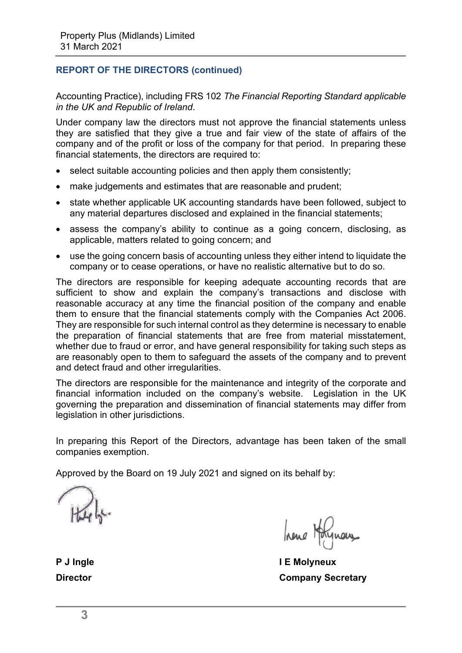# **REPORT OF THE DIRECTORS (continued)**

Accounting Practice), including FRS 102 *The Financial Reporting Standard applicable in the UK and Republic of Ireland*.

Under company law the directors must not approve the financial statements unless they are satisfied that they give a true and fair view of the state of affairs of the company and of the profit or loss of the company for that period. In preparing these financial statements, the directors are required to:

- select suitable accounting policies and then apply them consistently;
- make judgements and estimates that are reasonable and prudent:
- state whether applicable UK accounting standards have been followed, subject to any material departures disclosed and explained in the financial statements;
- assess the company's ability to continue as a going concern, disclosing, as applicable, matters related to going concern; and
- use the going concern basis of accounting unless they either intend to liquidate the company or to cease operations, or have no realistic alternative but to do so.

The directors are responsible for keeping adequate accounting records that are sufficient to show and explain the company's transactions and disclose with reasonable accuracy at any time the financial position of the company and enable them to ensure that the financial statements comply with the Companies Act 2006. They are responsible for such internal control as they determine is necessary to enable the preparation of financial statements that are free from material misstatement, whether due to fraud or error, and have general responsibility for taking such steps as are reasonably open to them to safeguard the assets of the company and to prevent and detect fraud and other irregularities.

The directors are responsible for the maintenance and integrity of the corporate and financial information included on the company's website. Legislation in the UK governing the preparation and dissemination of financial statements may differ from legislation in other jurisdictions.

In preparing this Report of the Directors, advantage has been taken of the small companies exemption.

Approved by the Board on 19 July 2021 and signed on its behalf by:

**P J Ingle I E Molyneux Director Company Secretary**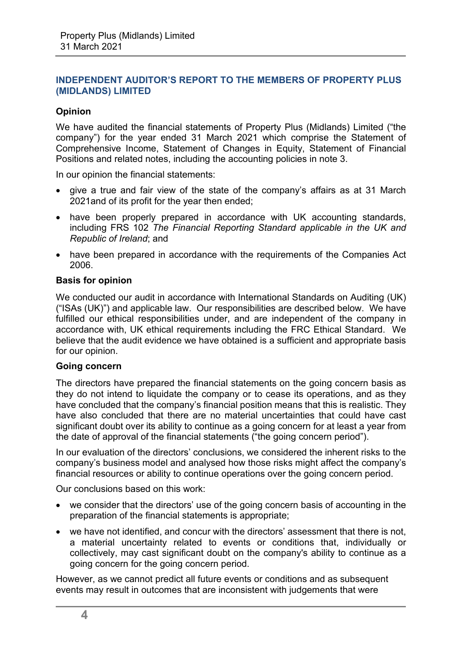# **Opinion**

We have audited the financial statements of Property Plus (Midlands) Limited ("the company") for the year ended 31 March 2021 which comprise the Statement of Comprehensive Income, Statement of Changes in Equity, Statement of Financial Positions and related notes, including the accounting policies in note 3.

In our opinion the financial statements:

- give a true and fair view of the state of the company's affairs as at 31 March 2021and of its profit for the year then ended;
- have been properly prepared in accordance with UK accounting standards, including FRS 102 *The Financial Reporting Standard applicable in the UK and Republic of Ireland*; and
- have been prepared in accordance with the requirements of the Companies Act 2006.

#### **Basis for opinion**

We conducted our audit in accordance with International Standards on Auditing (UK) ("ISAs (UK)") and applicable law. Our responsibilities are described below. We have fulfilled our ethical responsibilities under, and are independent of the company in accordance with, UK ethical requirements including the FRC Ethical Standard. We believe that the audit evidence we have obtained is a sufficient and appropriate basis for our opinion.

#### **Going concern**

The directors have prepared the financial statements on the going concern basis as they do not intend to liquidate the company or to cease its operations, and as they have concluded that the company's financial position means that this is realistic. They have also concluded that there are no material uncertainties that could have cast significant doubt over its ability to continue as a going concern for at least a year from the date of approval of the financial statements ("the going concern period").

In our evaluation of the directors' conclusions, we considered the inherent risks to the company's business model and analysed how those risks might affect the company's financial resources or ability to continue operations over the going concern period.

Our conclusions based on this work:

- we consider that the directors' use of the going concern basis of accounting in the preparation of the financial statements is appropriate;
- we have not identified, and concur with the directors' assessment that there is not, a material uncertainty related to events or conditions that, individually or collectively, may cast significant doubt on the company's ability to continue as a going concern for the going concern period.

However, as we cannot predict all future events or conditions and as subsequent events may result in outcomes that are inconsistent with judgements that were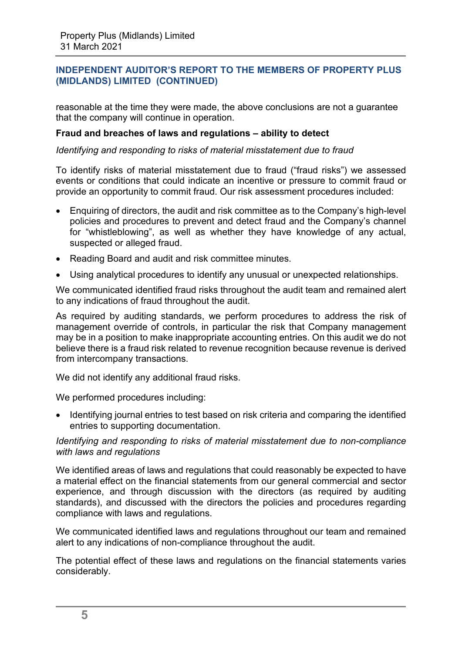reasonable at the time they were made, the above conclusions are not a guarantee that the company will continue in operation.

#### **Fraud and breaches of laws and regulations – ability to detect**

#### *Identifying and responding to risks of material misstatement due to fraud*

To identify risks of material misstatement due to fraud ("fraud risks") we assessed events or conditions that could indicate an incentive or pressure to commit fraud or provide an opportunity to commit fraud. Our risk assessment procedures included:

- Enquiring of directors, the audit and risk committee as to the Company's high-level policies and procedures to prevent and detect fraud and the Company's channel for "whistleblowing", as well as whether they have knowledge of any actual, suspected or alleged fraud.
- Reading Board and audit and risk committee minutes.
- Using analytical procedures to identify any unusual or unexpected relationships.

We communicated identified fraud risks throughout the audit team and remained alert to any indications of fraud throughout the audit.

As required by auditing standards, we perform procedures to address the risk of management override of controls, in particular the risk that Company management may be in a position to make inappropriate accounting entries. On this audit we do not believe there is a fraud risk related to revenue recognition because revenue is derived from intercompany transactions.

We did not identify any additional fraud risks.

We performed procedures including:

• Identifying journal entries to test based on risk criteria and comparing the identified entries to supporting documentation.

#### *Identifying and responding to risks of material misstatement due to non-compliance with laws and regulations*

We identified areas of laws and regulations that could reasonably be expected to have a material effect on the financial statements from our general commercial and sector experience, and through discussion with the directors (as required by auditing standards), and discussed with the directors the policies and procedures regarding compliance with laws and regulations.

We communicated identified laws and regulations throughout our team and remained alert to any indications of non-compliance throughout the audit.

The potential effect of these laws and regulations on the financial statements varies considerably.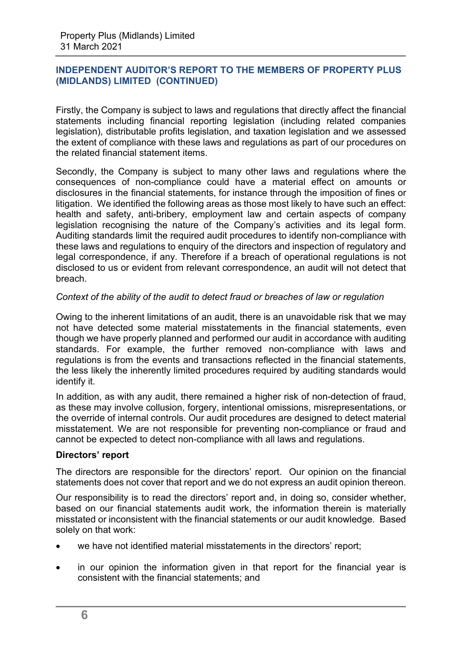Firstly, the Company is subject to laws and regulations that directly affect the financial statements including financial reporting legislation (including related companies legislation), distributable profits legislation, and taxation legislation and we assessed the extent of compliance with these laws and regulations as part of our procedures on the related financial statement items.

Secondly, the Company is subject to many other laws and regulations where the consequences of non-compliance could have a material effect on amounts or disclosures in the financial statements, for instance through the imposition of fines or litigation. We identified the following areas as those most likely to have such an effect: health and safety, anti-bribery, employment law and certain aspects of company legislation recognising the nature of the Company's activities and its legal form. Auditing standards limit the required audit procedures to identify non-compliance with these laws and regulations to enquiry of the directors and inspection of regulatory and legal correspondence, if any. Therefore if a breach of operational regulations is not disclosed to us or evident from relevant correspondence, an audit will not detect that breach.

# *Context of the ability of the audit to detect fraud or breaches of law or regulation*

Owing to the inherent limitations of an audit, there is an unavoidable risk that we may not have detected some material misstatements in the financial statements, even though we have properly planned and performed our audit in accordance with auditing standards. For example, the further removed non-compliance with laws and regulations is from the events and transactions reflected in the financial statements, the less likely the inherently limited procedures required by auditing standards would identify it.

In addition, as with any audit, there remained a higher risk of non-detection of fraud, as these may involve collusion, forgery, intentional omissions, misrepresentations, or the override of internal controls. Our audit procedures are designed to detect material misstatement. We are not responsible for preventing non-compliance or fraud and cannot be expected to detect non-compliance with all laws and regulations.

#### **Directors' report**

The directors are responsible for the directors' report. Our opinion on the financial statements does not cover that report and we do not express an audit opinion thereon.

Our responsibility is to read the directors' report and, in doing so, consider whether, based on our financial statements audit work, the information therein is materially misstated or inconsistent with the financial statements or our audit knowledge. Based solely on that work:

- we have not identified material misstatements in the directors' report:
- in our opinion the information given in that report for the financial year is consistent with the financial statements; and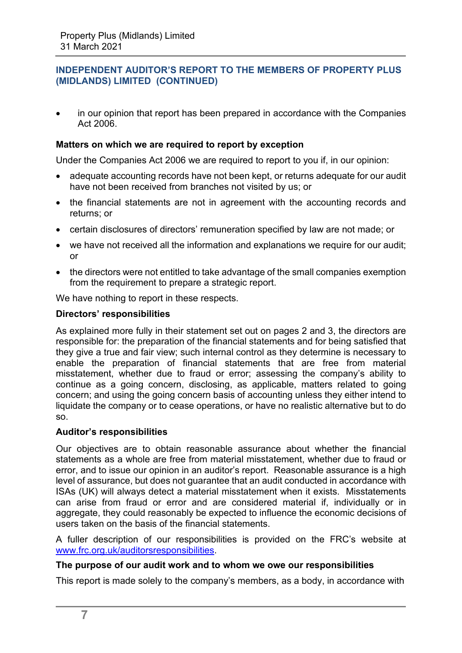• in our opinion that report has been prepared in accordance with the Companies Act 2006.

# **Matters on which we are required to report by exception**

Under the Companies Act 2006 we are required to report to you if, in our opinion:

- adequate accounting records have not been kept, or returns adequate for our audit have not been received from branches not visited by us; or
- the financial statements are not in agreement with the accounting records and returns; or
- certain disclosures of directors' remuneration specified by law are not made; or
- we have not received all the information and explanations we require for our audit: or
- the directors were not entitled to take advantage of the small companies exemption from the requirement to prepare a strategic report.

We have nothing to report in these respects.

# **Directors' responsibilities**

As explained more fully in their statement set out on pages 2 and 3, the directors are responsible for: the preparation of the financial statements and for being satisfied that they give a true and fair view; such internal control as they determine is necessary to enable the preparation of financial statements that are free from material misstatement, whether due to fraud or error; assessing the company's ability to continue as a going concern, disclosing, as applicable, matters related to going concern; and using the going concern basis of accounting unless they either intend to liquidate the company or to cease operations, or have no realistic alternative but to do so.

# **Auditor's responsibilities**

Our objectives are to obtain reasonable assurance about whether the financial statements as a whole are free from material misstatement, whether due to fraud or error, and to issue our opinion in an auditor's report. Reasonable assurance is a high level of assurance, but does not guarantee that an audit conducted in accordance with ISAs (UK) will always detect a material misstatement when it exists. Misstatements can arise from fraud or error and are considered material if, individually or in aggregate, they could reasonably be expected to influence the economic decisions of users taken on the basis of the financial statements.

A fuller description of our responsibilities is provided on the FRC's website at [www.frc.org.uk/auditorsresponsibilities.](http://www.frc.org.uk/auditorsresponsibilities)

#### **The purpose of our audit work and to whom we owe our responsibilities**

This report is made solely to the company's members, as a body, in accordance with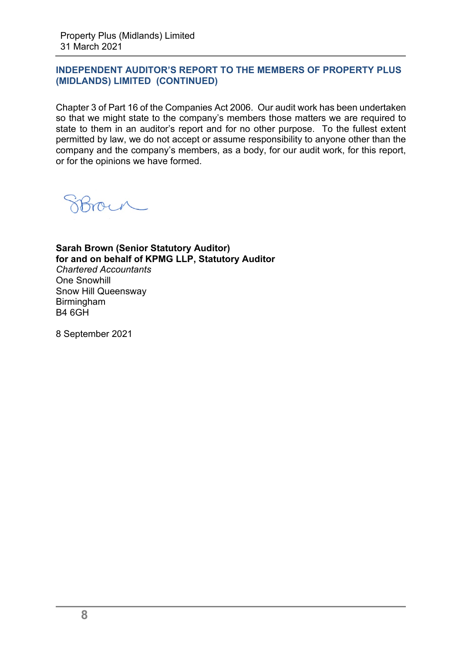Chapter 3 of Part 16 of the Companies Act 2006. Our audit work has been undertaken so that we might state to the company's members those matters we are required to state to them in an auditor's report and for no other purpose. To the fullest extent permitted by law, we do not accept or assume responsibility to anyone other than the company and the company's members, as a body, for our audit work, for this report, or for the opinions we have formed.

**Sarah Brown (Senior Statutory Auditor) for and on behalf of KPMG LLP, Statutory Auditor**  *Chartered Accountants*  One Snowhill Snow Hill Queensway Birmingham B4 6GH

8 September 2021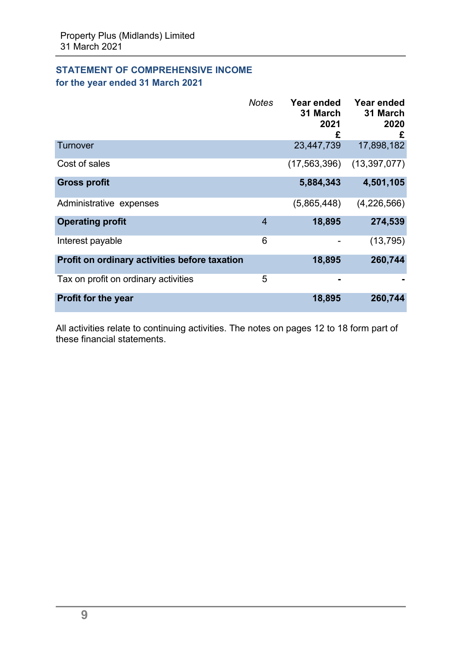# **STATEMENT OF COMPREHENSIVE INCOME for the year ended 31 March 2021**

|                                               | <b>Notes</b>   | Year ended<br>31 March<br>2021 | Year ended<br>31 March<br>2020<br>£ |
|-----------------------------------------------|----------------|--------------------------------|-------------------------------------|
| Turnover                                      |                | 23,447,739                     | 17,898,182                          |
| Cost of sales                                 |                | (17, 563, 396)                 | (13, 397, 077)                      |
| <b>Gross profit</b>                           |                | 5,884,343                      | 4,501,105                           |
| Administrative expenses                       |                | (5,865,448)                    | (4,226,566)                         |
| <b>Operating profit</b>                       | $\overline{4}$ | 18,895                         | 274,539                             |
| Interest payable                              | 6              |                                | (13, 795)                           |
| Profit on ordinary activities before taxation |                | 18,895                         | 260,744                             |
| Tax on profit on ordinary activities          | 5              |                                |                                     |
| <b>Profit for the year</b>                    |                | 18,895                         | 260,744                             |

All activities relate to continuing activities. The notes on pages 12 to 18 form part of these financial statements.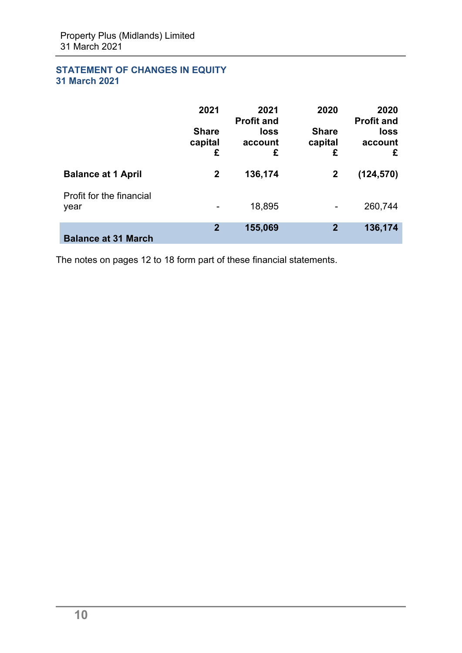# **STATEMENT OF CHANGES IN EQUITY 31 March 2021**

|                                  | 2021<br><b>Share</b><br>capital<br>£ | 2021<br><b>Profit and</b><br>loss<br>account<br>£ | 2020<br><b>Share</b><br>capital<br>£ | 2020<br><b>Profit and</b><br>loss<br>account<br>£ |
|----------------------------------|--------------------------------------|---------------------------------------------------|--------------------------------------|---------------------------------------------------|
| <b>Balance at 1 April</b>        | $\mathbf 2$                          | 136,174                                           | $\mathbf{2}$                         | (124, 570)                                        |
| Profit for the financial<br>year |                                      | 18,895                                            |                                      | 260,744                                           |
| <b>Balance at 31 March</b>       | $\overline{2}$                       | 155,069                                           | $\overline{2}$                       | 136,174                                           |

The notes on pages 12 to 18 form part of these financial statements.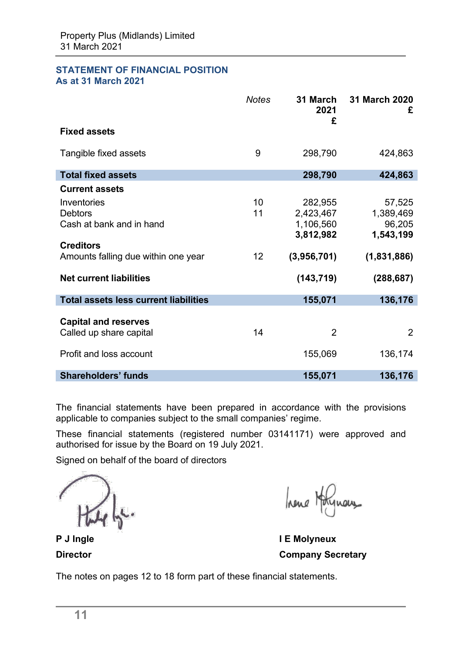#### **STATEMENT OF FINANCIAL POSITION As at 31 March 2021**

|                                                                                                                                                        | <b>Notes</b>   | 31 March<br>2021<br>£                                                       | 31 March 2020<br>£                                                      |
|--------------------------------------------------------------------------------------------------------------------------------------------------------|----------------|-----------------------------------------------------------------------------|-------------------------------------------------------------------------|
| <b>Fixed assets</b>                                                                                                                                    |                |                                                                             |                                                                         |
| Tangible fixed assets                                                                                                                                  | 9              | 298,790                                                                     | 424,863                                                                 |
| <b>Total fixed assets</b>                                                                                                                              |                | 298,790                                                                     | 424,863                                                                 |
| <b>Current assets</b>                                                                                                                                  |                |                                                                             |                                                                         |
| Inventories<br><b>Debtors</b><br>Cash at bank and in hand<br><b>Creditors</b><br>Amounts falling due within one year<br><b>Net current liabilities</b> | 10<br>11<br>12 | 282,955<br>2,423,467<br>1,106,560<br>3,812,982<br>(3,956,701)<br>(143, 719) | 57,525<br>1,389,469<br>96,205<br>1,543,199<br>(1,831,886)<br>(288, 687) |
| <b>Total assets less current liabilities</b>                                                                                                           |                | 155,071                                                                     | 136,176                                                                 |
| <b>Capital and reserves</b><br>Called up share capital<br>Profit and loss account                                                                      | 14             | $\overline{2}$<br>155,069                                                   | $\overline{2}$<br>136,174                                               |
| <b>Shareholders' funds</b>                                                                                                                             |                | 155,071                                                                     | 136,176                                                                 |

The financial statements have been prepared in accordance with the provisions applicable to companies subject to the small companies' regime.

These financial statements (registered number 03141171) were approved and authorised for issue by the Board on 19 July 2021.

Signed on behalf of the board of directors

hene Hotel nehe

**P J Ingle I E Molyneux Director Company Secretary** 

The notes on pages 12 to 18 form part of these financial statements.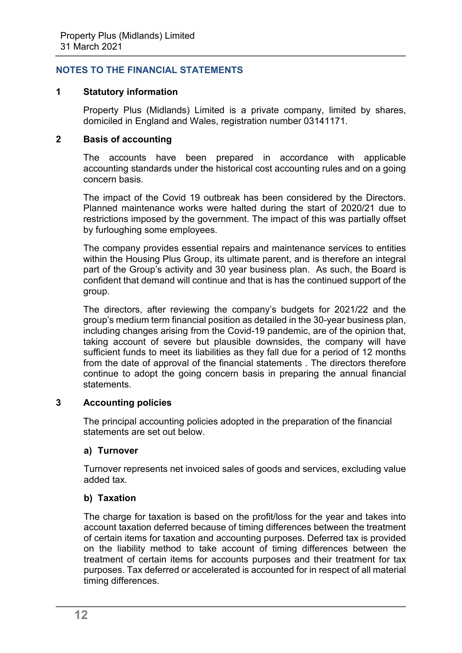# **NOTES TO THE FINANCIAL STATEMENTS**

# **1 Statutory information**

Property Plus (Midlands) Limited is a private company, limited by shares, domiciled in England and Wales, registration number 03141171.

# **2 Basis of accounting**

The accounts have been prepared in accordance with applicable accounting standards under the historical cost accounting rules and on a going concern basis.

The impact of the Covid 19 outbreak has been considered by the Directors. Planned maintenance works were halted during the start of 2020/21 due to restrictions imposed by the government. The impact of this was partially offset by furloughing some employees.

The company provides essential repairs and maintenance services to entities within the Housing Plus Group, its ultimate parent, and is therefore an integral part of the Group's activity and 30 year business plan. As such, the Board is confident that demand will continue and that is has the continued support of the group.

The directors, after reviewing the company's budgets for 2021/22 and the group's medium term financial position as detailed in the 30-year business plan, including changes arising from the Covid-19 pandemic, are of the opinion that, taking account of severe but plausible downsides, the company will have sufficient funds to meet its liabilities as they fall due for a period of 12 months from the date of approval of the financial statements . The directors therefore continue to adopt the going concern basis in preparing the annual financial statements.

# **3 Accounting policies**

The principal accounting policies adopted in the preparation of the financial statements are set out below.

# **a) Turnover**

Turnover represents net invoiced sales of goods and services, excluding value added tax.

#### **b) Taxation**

The charge for taxation is based on the profit/loss for the year and takes into account taxation deferred because of timing differences between the treatment of certain items for taxation and accounting purposes. Deferred tax is provided on the liability method to take account of timing differences between the treatment of certain items for accounts purposes and their treatment for tax purposes. Tax deferred or accelerated is accounted for in respect of all material timing differences.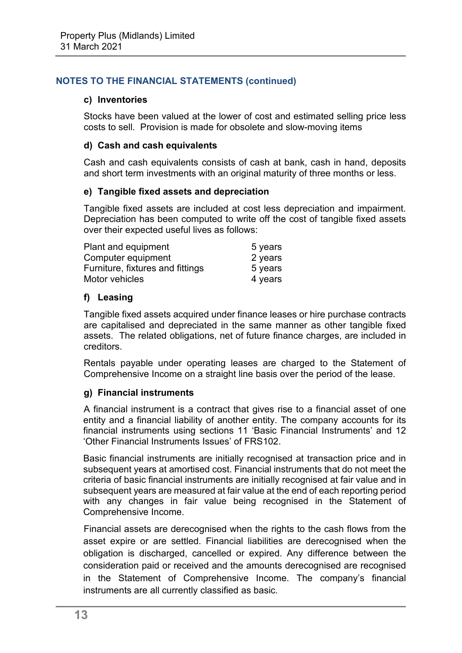#### **c) Inventories**

Stocks have been valued at the lower of cost and estimated selling price less costs to sell. Provision is made for obsolete and slow-moving items

# **d) Cash and cash equivalents**

Cash and cash equivalents consists of cash at bank, cash in hand, deposits and short term investments with an original maturity of three months or less.

#### **e) Tangible fixed assets and depreciation**

Tangible fixed assets are included at cost less depreciation and impairment. Depreciation has been computed to write off the cost of tangible fixed assets over their expected useful lives as follows:

| Plant and equipment              | 5 years |
|----------------------------------|---------|
| Computer equipment               | 2 years |
| Furniture, fixtures and fittings | 5 years |
| Motor vehicles                   | 4 years |

# **f) Leasing**

Tangible fixed assets acquired under finance leases or hire purchase contracts are capitalised and depreciated in the same manner as other tangible fixed assets. The related obligations, net of future finance charges, are included in creditors.

Rentals payable under operating leases are charged to the Statement of Comprehensive Income on a straight line basis over the period of the lease.

#### **g) Financial instruments**

A financial instrument is a contract that gives rise to a financial asset of one entity and a financial liability of another entity. The company accounts for its financial instruments using sections 11 'Basic Financial Instruments' and 12 'Other Financial Instruments Issues' of FRS102.

Basic financial instruments are initially recognised at transaction price and in subsequent years at amortised cost. Financial instruments that do not meet the criteria of basic financial instruments are initially recognised at fair value and in subsequent years are measured at fair value at the end of each reporting period with any changes in fair value being recognised in the Statement of Comprehensive Income.

Financial assets are derecognised when the rights to the cash flows from the asset expire or are settled. Financial liabilities are derecognised when the obligation is discharged, cancelled or expired. Any difference between the consideration paid or received and the amounts derecognised are recognised in the Statement of Comprehensive Income. The company's financial instruments are all currently classified as basic.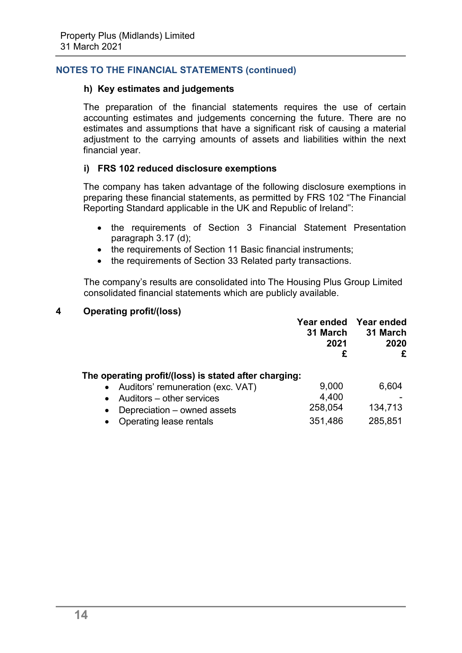#### **h) Key estimates and judgements**

The preparation of the financial statements requires the use of certain accounting estimates and judgements concerning the future. There are no estimates and assumptions that have a significant risk of causing a material adjustment to the carrying amounts of assets and liabilities within the next financial year.

#### **i) FRS 102 reduced disclosure exemptions**

The company has taken advantage of the following disclosure exemptions in preparing these financial statements, as permitted by FRS 102 "The Financial Reporting Standard applicable in the UK and Republic of Ireland":

- the requirements of Section 3 Financial Statement Presentation paragraph 3.17 (d);
- the requirements of Section 11 Basic financial instruments;
- the requirements of Section 33 Related party transactions.

The company's results are consolidated into The Housing Plus Group Limited consolidated financial statements which are publicly available.

#### **4 Operating profit/(loss)**

| 31 March                                                                                     |       | Year ended Year ended<br>31 March<br>2020 |
|----------------------------------------------------------------------------------------------|-------|-------------------------------------------|
| The operating profit/(loss) is stated after charging:<br>• Auditors' remuneration (exc. VAT) | 9,000 | 6,604                                     |

| • Auditors – other services     | 4.400   | $\overline{\phantom{0}}$ |
|---------------------------------|---------|--------------------------|
| • Depreciation $-$ owned assets | 258,054 | 134,713                  |
| • Operating lease rentals       | 351,486 | 285,851                  |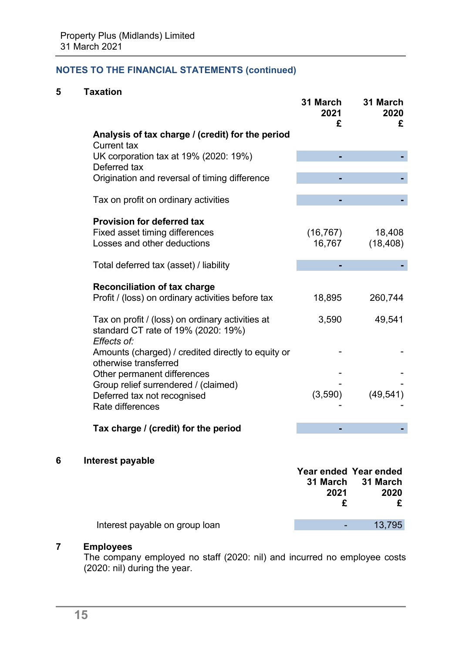# **5 Taxation**

|                                                                                                        | 31 March<br>2021<br>£ | 31 March<br>2020<br>£ |
|--------------------------------------------------------------------------------------------------------|-----------------------|-----------------------|
| Analysis of tax charge / (credit) for the period<br><b>Current tax</b>                                 |                       |                       |
| UK corporation tax at 19% (2020: 19%)<br>Deferred tax                                                  |                       |                       |
| Origination and reversal of timing difference                                                          |                       |                       |
| Tax on profit on ordinary activities                                                                   |                       |                       |
| <b>Provision for deferred tax</b>                                                                      |                       |                       |
| <b>Fixed asset timing differences</b>                                                                  | (16, 767)             | 18,408                |
| Losses and other deductions                                                                            | 16,767                | (18, 408)             |
| Total deferred tax (asset) / liability                                                                 |                       |                       |
| <b>Reconciliation of tax charge</b>                                                                    |                       |                       |
| Profit / (loss) on ordinary activities before tax                                                      | 18,895                | 260,744               |
| Tax on profit / (loss) on ordinary activities at<br>standard CT rate of 19% (2020: 19%)<br>Effects of: | 3,590                 | 49,541                |
| Amounts (charged) / credited directly to equity or<br>otherwise transferred                            |                       |                       |
| Other permanent differences                                                                            |                       |                       |
| Group relief surrendered / (claimed)                                                                   |                       |                       |
| Deferred tax not recognised                                                                            | (3,590)               | (49, 541)             |
| Rate differences                                                                                       |                       |                       |
| Tax charge / (credit) for the period                                                                   |                       |                       |

# **6 Interest payable**

|                                | 31 March | Year ended Year ended<br>31 March |
|--------------------------------|----------|-----------------------------------|
|                                | 2021     | 2020                              |
|                                |          |                                   |
| Interest payable on group loan |          | 13,795                            |

# **7 Employees**

The company employed no staff (2020: nil) and incurred no employee costs (2020: nil) during the year.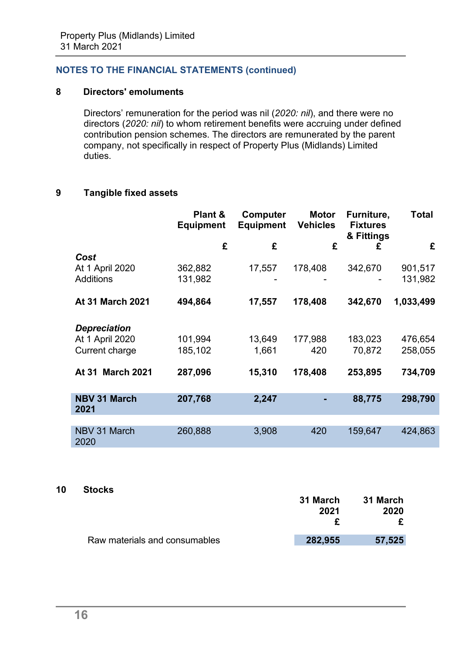# **8 Directors' emoluments**

Directors' remuneration for the period was nil (*2020: nil*), and there were no directors (*2020: nil*) to whom retirement benefits were accruing under defined contribution pension schemes. The directors are remunerated by the parent company, not specifically in respect of Property Plus (Midlands) Limited duties.

## **9 Tangible fixed assets**

|                             | Plant &<br><b>Equipment</b> | Computer<br><b>Equipment</b> | <b>Motor</b><br><b>Vehicles</b> | Furniture,<br><b>Fixtures</b><br>& Fittings | Total     |
|-----------------------------|-----------------------------|------------------------------|---------------------------------|---------------------------------------------|-----------|
|                             | £                           | £                            | £                               | £                                           | £         |
| Cost                        |                             |                              |                                 |                                             |           |
| At 1 April 2020             | 362,882                     | 17,557                       | 178,408                         | 342,670                                     | 901,517   |
| <b>Additions</b>            | 131,982                     |                              |                                 |                                             | 131,982   |
| <b>At 31 March 2021</b>     | 494,864                     | 17,557                       | 178,408                         | 342,670                                     | 1,033,499 |
| <b>Depreciation</b>         |                             |                              |                                 |                                             |           |
| At 1 April 2020             | 101,994                     | 13,649                       | 177,988                         | 183,023                                     | 476,654   |
| Current charge              | 185,102                     | 1,661                        | 420                             | 70,872                                      | 258,055   |
| <b>At 31 March 2021</b>     | 287,096                     | 15,310                       | 178,408                         | 253,895                                     | 734,709   |
| <b>NBV 31 March</b><br>2021 | 207,768                     | 2,247                        |                                 | 88,775                                      | 298,790   |
|                             |                             |                              |                                 |                                             |           |
| NBV 31 March<br>2020        | 260,888                     | 3,908                        | 420                             | 159,647                                     | 424,863   |

# **10 Stocks**

|                               | 31 March | 31 March<br>2020 |
|-------------------------------|----------|------------------|
|                               | 2021     |                  |
|                               |          |                  |
| Raw materials and consumables | 282,955  | 57,525           |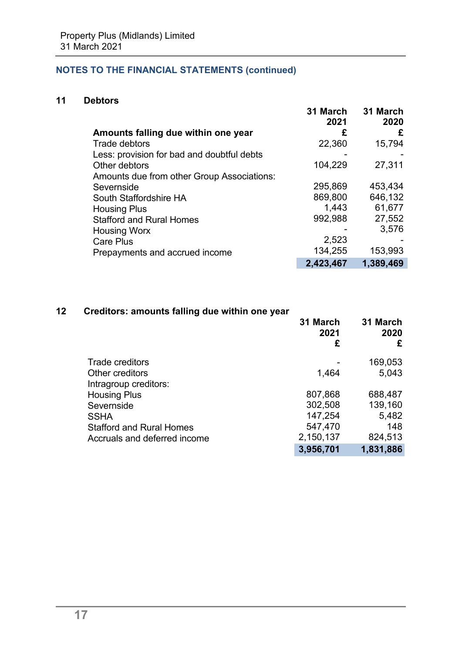# **11 Debtors**

|                                            | 31 March<br>2021 | 31 March<br>2020 |
|--------------------------------------------|------------------|------------------|
| Amounts falling due within one year        | £                | £                |
| Trade debtors                              | 22,360           | 15,794           |
| Less: provision for bad and doubtful debts |                  |                  |
| Other debtors                              | 104,229          | 27,311           |
| Amounts due from other Group Associations: |                  |                  |
| Severnside                                 | 295,869          | 453,434          |
| South Staffordshire HA                     | 869,800          | 646,132          |
| <b>Housing Plus</b>                        | 1,443            | 61,677           |
| <b>Stafford and Rural Homes</b>            | 992,988          | 27,552           |
| <b>Housing Worx</b>                        |                  | 3,576            |
| <b>Care Plus</b>                           | 2,523            |                  |
| Prepayments and accrued income             | 134,255          | 153,993          |
|                                            | 2,423,467        | 1,389,469        |

# **12 Creditors: amounts falling due within one year**

|                                          | 31 March<br>2021<br>£ | 31 March<br>2020<br>£ |
|------------------------------------------|-----------------------|-----------------------|
| <b>Trade creditors</b>                   |                       | 169,053               |
| Other creditors<br>Intragroup creditors: | 1,464                 | 5,043                 |
| <b>Housing Plus</b>                      | 807,868               | 688,487               |
| Severnside                               | 302,508               | 139,160               |
| <b>SSHA</b>                              | 147,254               | 5,482                 |
| <b>Stafford and Rural Homes</b>          | 547,470               | 148                   |
| Accruals and deferred income             | 2,150,137             | 824,513               |
|                                          | 3,956,701             | 1,831,886             |